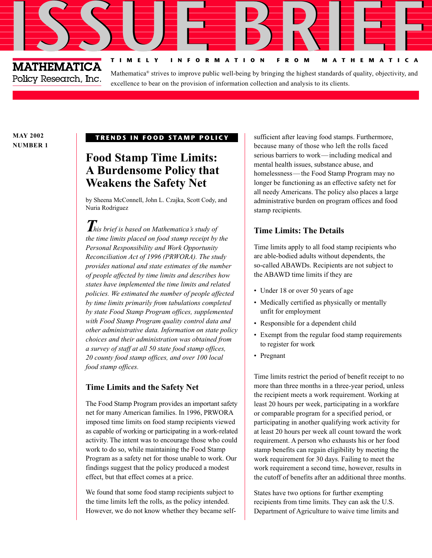# **ISSUE BRIEF** Policy Research, Inc.

Mathematica® strives to improve public well-being by bringing the highest standards of quality, objectivity, and excellence to bear on the provision of information collection and analysis to its clients.

**TIMELY INFORMATION FROM MATHEMATICA**

**MAY 2002 NUMBER 1**

#### **TRENDS IN FOOD STAMP POLICY**

## **Food Stamp Time Limits: A Burdensome Policy that Weakens the Safety Net**

by Sheena McConnell, John L. Czajka, Scott Cody, and Nuria Rodriguez

*This brief is based on Mathematica's study of the time limits placed on food stamp receipt by the Personal Responsibility and Work Opportunity Reconciliation Act of 1996 (PRWORA). The study provides national and state estimates of the number of people affected by time limits and describes how states have implemented the time limits and related policies. We estimated the number of people affected by time limits primarily from tabulations completed by state Food Stamp Program offices, supplemented with Food Stamp Program quality control data and other administrative data. Information on state policy choices and their administration was obtained from a survey of staff at all 50 state food stamp offices, 20 county food stamp offices, and over 100 local food stamp offices.*

#### **Time Limits and the Safety Net**

The Food Stamp Program provides an important safety net for many American families. In 1996, PRWORA imposed time limits on food stamp recipients viewed as capable of working or participating in a work-related activity. The intent was to encourage those who could work to do so, while maintaining the Food Stamp Program as a safety net for those unable to work. Our findings suggest that the policy produced a modest effect, but that effect comes at a price.

We found that some food stamp recipients subject to the time limits left the rolls, as the policy intended. However, we do not know whether they became selfsufficient after leaving food stamps. Furthermore, because many of those who left the rolls faced serious barriers to work—including medical and mental health issues, substance abuse, and homelessness—the Food Stamp Program may no longer be functioning as an effective safety net for all needy Americans. The policy also places a large administrative burden on program offices and food stamp recipients.

### **Time Limits: The Details**

Time limits apply to all food stamp recipients who are able-bodied adults without dependents, the so-called ABAWDs. Recipients are not subject to the ABAWD time limits if they are

- Under 18 or over 50 years of age
- Medically certified as physically or mentally unfit for employment
- Responsible for a dependent child
- Exempt from the regular food stamp requirements to register for work
- Pregnant

Time limits restrict the period of benefit receipt to no more than three months in a three-year period, unless the recipient meets a work requirement. Working at least 20 hours per week, participating in a workfare or comparable program for a specified period, or participating in another qualifying work activity for at least 20 hours per week all count toward the work requirement. A person who exhausts his or her food stamp benefits can regain eligibility by meeting the work requirement for 30 days. Failing to meet the work requirement a second time, however, results in the cutoff of benefits after an additional three months.

States have two options for further exempting recipients from time limits. They can ask the U.S. Department of Agriculture to waive time limits and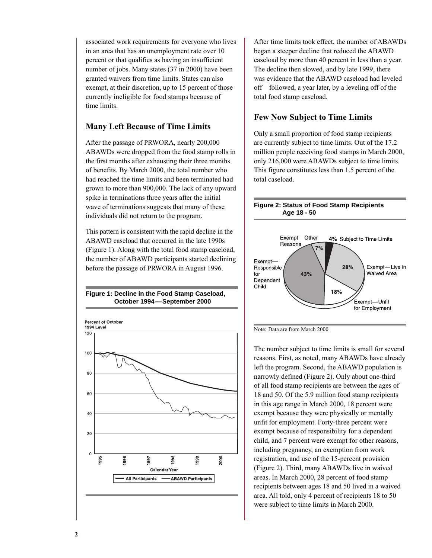associated work requirements for everyone who lives in an area that has an unemployment rate over 10 percent or that qualifies as having an insufficient number of jobs. Many states (37 in 2000) have been granted waivers from time limits. States can also exempt, at their discretion, up to 15 percent of those currently ineligible for food stamps because of time limits.

#### **Many Left Because of Time Limits**

After the passage of PRWORA, nearly 200,000 ABAWDs were dropped from the food stamp rolls in the first months after exhausting their three months of benefits. By March 2000, the total number who had reached the time limits and been terminated had grown to more than 900,000. The lack of any upward spike in terminations three years after the initial wave of terminations suggests that many of these individuals did not return to the program.

This pattern is consistent with the rapid decline in the ABAWD caseload that occurred in the late 1990s (Figure 1). Along with the total food stamp caseload, the number of ABAWD participants started declining before the passage of PRWORA in August 1996.





After time limits took effect, the number of ABAWDs began a steeper decline that reduced the ABAWD caseload by more than 40 percent in less than a year. The decline then slowed, and by late 1999, there was evidence that the ABAWD caseload had leveled off—followed, a year later, by a leveling off of the total food stamp caseload.

### **Few Now Subject to Time Limits**

Only a small proportion of food stamp recipients are currently subject to time limits. Out of the 17.2 million people receiving food stamps in March 2000, only 216,000 were ABAWDs subject to time limits. This figure constitutes less than 1.5 percent of the total caseload.

#### **Figure 2: Status of Food Stamp Recipients Age 18 - 50**





The number subject to time limits is small for several reasons. First, as noted, many ABAWDs have already left the program. Second, the ABAWD population is narrowly defined (Figure 2). Only about one-third of all food stamp recipients are between the ages of 18 and 50. Of the 5.9 million food stamp recipients in this age range in March 2000, 18 percent were exempt because they were physically or mentally unfit for employment. Forty-three percent were exempt because of responsibility for a dependent child, and 7 percent were exempt for other reasons, including pregnancy, an exemption from work registration, and use of the 15-percent provision (Figure 2). Third, many ABAWDs live in waived areas. In March 2000, 28 percent of food stamp recipients between ages 18 and 50 lived in a waived area. All told, only 4 percent of recipients 18 to 50 were subject to time limits in March 2000.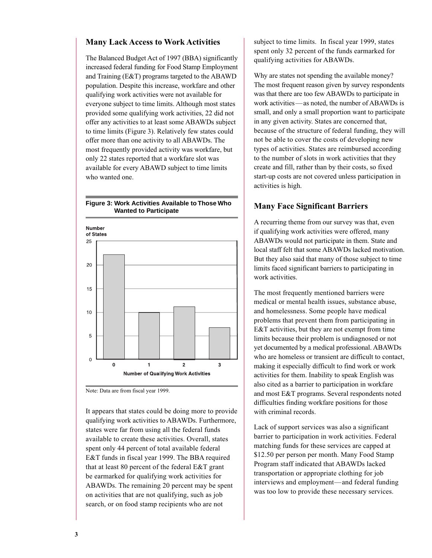#### **Many Lack Access to Work Activities**

The Balanced Budget Act of 1997 (BBA) significantly increased federal funding for Food Stamp Employment and Training (E&T) programs targeted to the ABAWD population. Despite this increase, workfare and other qualifying work activities were not available for everyone subject to time limits. Although most states provided some qualifying work activities, 22 did not offer any activities to at least some ABAWDs subject to time limits (Figure 3). Relatively few states could offer more than one activity to all ABAWDs. The most frequently provided activity was workfare, but only 22 states reported that a workfare slot was available for every ABAWD subject to time limits who wanted one.



#### **Figure 3: Work Activities Available to Those Who Wanted to Participate**

Note: Data are from fiscal year 1999.

It appears that states could be doing more to provide qualifying work activities to ABAWDs. Furthermore, states were far from using all the federal funds available to create these activities. Overall, states spent only 44 percent of total available federal E&T funds in fiscal year 1999. The BBA required that at least 80 percent of the federal E&T grant be earmarked for qualifying work activities for ABAWDs. The remaining 20 percent may be spent on activities that are not qualifying, such as job search, or on food stamp recipients who are not

subject to time limits. In fiscal year 1999, states spent only 32 percent of the funds earmarked for qualifying activities for ABAWDs.

Why are states not spending the available money? The most frequent reason given by survey respondents was that there are too few ABAWDs to participate in work activities—as noted, the number of ABAWDs is small, and only a small proportion want to participate in any given activity. States are concerned that, because of the structure of federal funding, they will not be able to cover the costs of developing new types of activities. States are reimbursed according to the number of slots in work activities that they create and fill, rather than by their costs, so fixed start-up costs are not covered unless participation in activities is high.

#### **Many Face Significant Barriers**

A recurring theme from our survey was that, even if qualifying work activities were offered, many ABAWDs would not participate in them. State and local staff felt that some ABAWDs lacked motivation. But they also said that many of those subject to time limits faced significant barriers to participating in work activities.

The most frequently mentioned barriers were medical or mental health issues, substance abuse, and homelessness. Some people have medical problems that prevent them from participating in E&T activities, but they are not exempt from time limits because their problem is undiagnosed or not yet documented by a medical professional. ABAWDs who are homeless or transient are difficult to contact, making it especially difficult to find work or work activities for them. Inability to speak English was also cited as a barrier to participation in workfare and most E&T programs. Several respondents noted difficulties finding workfare positions for those with criminal records.

Lack of support services was also a significant barrier to participation in work activities. Federal matching funds for these services are capped at \$12.50 per person per month. Many Food Stamp Program staff indicated that ABAWDs lacked transportation or appropriate clothing for job interviews and employment—and federal funding was too low to provide these necessary services.